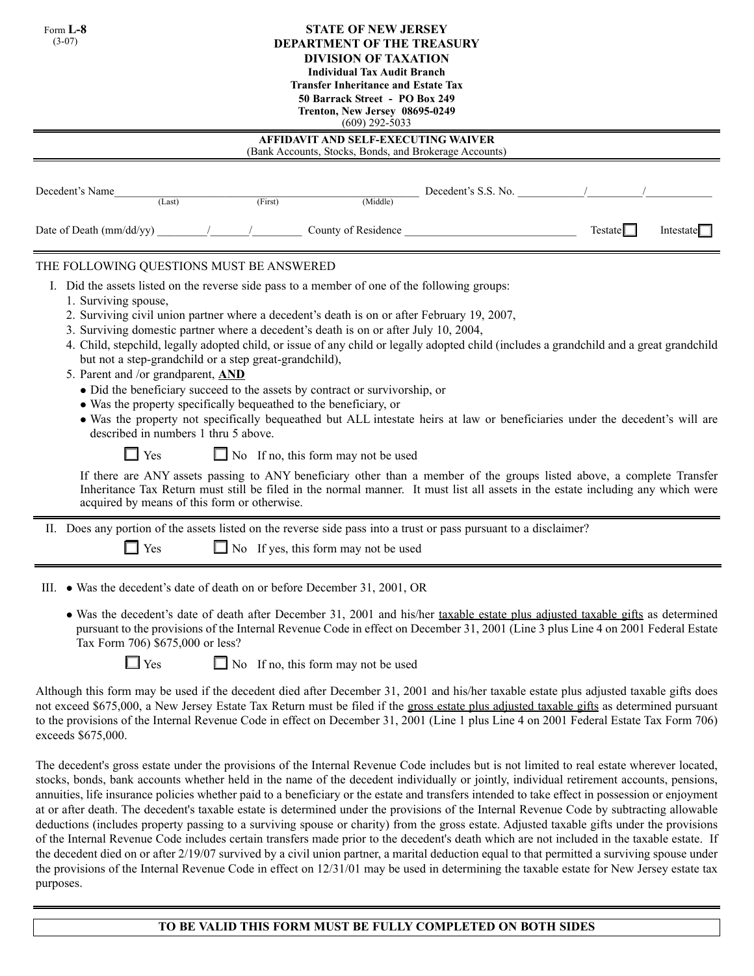| <b>STATE OF NEW JERSEY</b><br>Form $L-8$<br>$(3-07)$<br><b>DEPARTMENT OF THE TREASURY</b><br><b>DIVISION OF TAXATION</b><br><b>Individual Tax Audit Branch</b><br><b>Transfer Inheritance and Estate Tax</b><br>50 Barrack Street - PO Box 249<br>Trenton, New Jersey 08695-0249<br>$(609)$ 292-5033<br>AFFIDAVIT AND SELF-EXECUTING WAIVER<br>(Bank Accounts, Stocks, Bonds, and Brokerage Accounts) |                                                                                                                                                |  |                                                                                                                                                                                                                                                                                                                                                                                                                                                                                        |                                                                                                                   |                                                                                                                                                                                                                                                                                                                                                                                                                                                                                                                                                                                                                                                                                                                                      |
|-------------------------------------------------------------------------------------------------------------------------------------------------------------------------------------------------------------------------------------------------------------------------------------------------------------------------------------------------------------------------------------------------------|------------------------------------------------------------------------------------------------------------------------------------------------|--|----------------------------------------------------------------------------------------------------------------------------------------------------------------------------------------------------------------------------------------------------------------------------------------------------------------------------------------------------------------------------------------------------------------------------------------------------------------------------------------|-------------------------------------------------------------------------------------------------------------------|--------------------------------------------------------------------------------------------------------------------------------------------------------------------------------------------------------------------------------------------------------------------------------------------------------------------------------------------------------------------------------------------------------------------------------------------------------------------------------------------------------------------------------------------------------------------------------------------------------------------------------------------------------------------------------------------------------------------------------------|
|                                                                                                                                                                                                                                                                                                                                                                                                       |                                                                                                                                                |  |                                                                                                                                                                                                                                                                                                                                                                                                                                                                                        |                                                                                                                   |                                                                                                                                                                                                                                                                                                                                                                                                                                                                                                                                                                                                                                                                                                                                      |
| Date of Death (mm/dd/yy) / /                                                                                                                                                                                                                                                                                                                                                                          |                                                                                                                                                |  |                                                                                                                                                                                                                                                                                                                                                                                                                                                                                        | County of Residence                                                                                               | Testate<br>Intestate $\Box$                                                                                                                                                                                                                                                                                                                                                                                                                                                                                                                                                                                                                                                                                                          |
| THE FOLLOWING QUESTIONS MUST BE ANSWERED<br>1. Surviving spouse,<br>5. Parent and /or grandparent, AND<br>$\Box$ Yes                                                                                                                                                                                                                                                                                  | but not a step-grandchild or a step great-grandchild),<br>described in numbers 1 thru 5 above.<br>acquired by means of this form or otherwise. |  | I. Did the assets listed on the reverse side pass to a member of one of the following groups:<br>2. Surviving civil union partner where a decedent's death is on or after February 19, 2007,<br>3. Surviving domestic partner where a decedent's death is on or after July 10, 2004,<br>• Did the beneficiary succeed to the assets by contract or survivorship, or<br>• Was the property specifically bequeathed to the beneficiary, or<br>$\Box$ No If no, this form may not be used |                                                                                                                   | 4. Child, stepchild, legally adopted child, or issue of any child or legally adopted child (includes a grandchild and a great grandchild<br>• Was the property not specifically bequeathed but ALL intestate heirs at law or beneficiaries under the decedent's will are<br>If there are ANY assets passing to ANY beneficiary other than a member of the groups listed above, a complete Transfer<br>Inheritance Tax Return must still be filed in the normal manner. It must list all assets in the estate including any which were                                                                                                                                                                                                |
| Yes                                                                                                                                                                                                                                                                                                                                                                                                   |                                                                                                                                                |  | $\Box$ No If yes, this form may not be used                                                                                                                                                                                                                                                                                                                                                                                                                                            | II. Does any portion of the assets listed on the reverse side pass into a trust or pass pursuant to a disclaimer? |                                                                                                                                                                                                                                                                                                                                                                                                                                                                                                                                                                                                                                                                                                                                      |
| Tax Form 706) \$675,000 or less?<br>$\Box$ Yes                                                                                                                                                                                                                                                                                                                                                        |                                                                                                                                                |  | III. • Was the decedent's date of death on or before December 31, 2001, OR<br>$\Box$ No If no, this form may not be used                                                                                                                                                                                                                                                                                                                                                               |                                                                                                                   | • Was the decedent's date of death after December 31, 2001 and his/her taxable estate plus adjusted taxable gifts as determined<br>pursuant to the provisions of the Internal Revenue Code in effect on December 31, 2001 (Line 3 plus Line 4 on 2001 Federal Estate                                                                                                                                                                                                                                                                                                                                                                                                                                                                 |
| exceeds \$675,000.                                                                                                                                                                                                                                                                                                                                                                                    |                                                                                                                                                |  |                                                                                                                                                                                                                                                                                                                                                                                                                                                                                        |                                                                                                                   | Although this form may be used if the decedent died after December 31, 2001 and his/her taxable estate plus adjusted taxable gifts does<br>not exceed \$675,000, a New Jersey Estate Tax Return must be filed if the gross estate plus adjusted taxable gifts as determined pursuant<br>to the provisions of the Internal Revenue Code in effect on December 31, 2001 (Line 1 plus Line 4 on 2001 Federal Estate Tax Form 706)                                                                                                                                                                                                                                                                                                       |
|                                                                                                                                                                                                                                                                                                                                                                                                       |                                                                                                                                                |  |                                                                                                                                                                                                                                                                                                                                                                                                                                                                                        |                                                                                                                   | The decedent's gross estate under the provisions of the Internal Revenue Code includes but is not limited to real estate wherever located,<br>stocks, bonds, bank accounts whether held in the name of the decedent individually or jointly, individual retirement accounts, pensions,<br>annuities, life insurance policies whether paid to a beneficiary or the estate and transfers intended to take effect in possession or enjoyment<br>at or after death. The decedent's taxable estate is determined under the provisions of the Internal Revenue Code by subtracting allowable<br>deductions (includes property passing to a surviving spouse or charity) from the gross estate. Adjusted taxable gifts under the provisions |

of the Internal Revenue Code includes certain transfers made prior to the decedent's death which are not included in the taxable estate. If the decedent died on or after 2/19/07 survived by a civil union partner, a marital deduction equal to that permitted a surviving spouse under the provisions of the Internal Revenue Code in effect on 12/31/01 may be used in determining the taxable estate for New Jersey estate tax purposes.

# **TO BE VALID THIS FORM MUST BE FULLY COMPLETED ON BOTH SIDES**